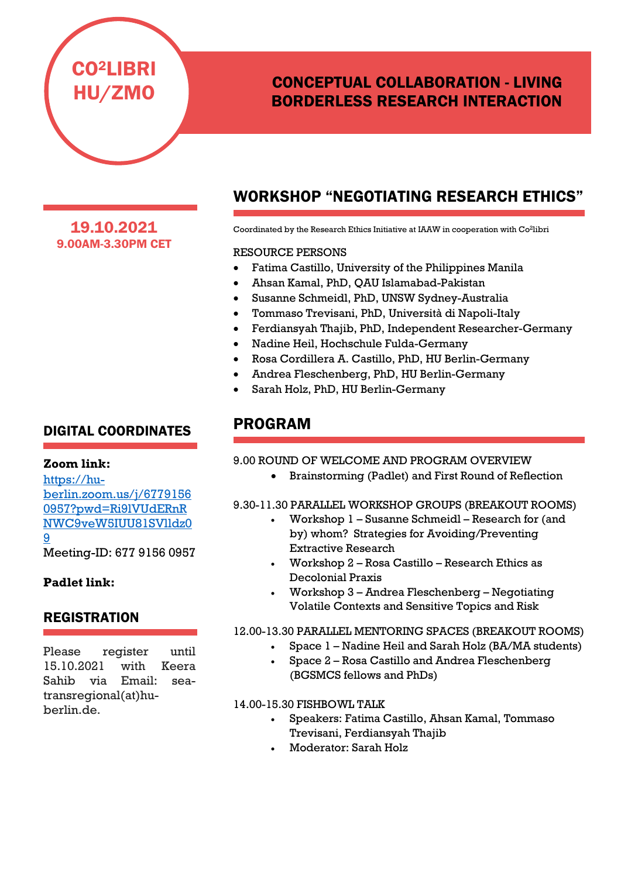# CONCEPTUAL COLLABORATION - LIVING BORDERLESS RESEARCH INTERACTION

19.10.2021 9.00AM-3.30PM CET

CO2LIBRI

HU/ZMO

## DIGITAL COORDINATES

### **Zoom link:**

[https://hu](https://hu-berlin.zoom.us/j/67791560957?pwd=Ri9lVUdERnRNWC9veW5IUU81SVlldz09)[berlin.zoom.us/j/6779156](https://hu-berlin.zoom.us/j/67791560957?pwd=Ri9lVUdERnRNWC9veW5IUU81SVlldz09) [0957?pwd=Ri9lVUdERnR](https://hu-berlin.zoom.us/j/67791560957?pwd=Ri9lVUdERnRNWC9veW5IUU81SVlldz09) [NWC9veW5IUU81SVlldz0](https://hu-berlin.zoom.us/j/67791560957?pwd=Ri9lVUdERnRNWC9veW5IUU81SVlldz09) [9](https://hu-berlin.zoom.us/j/67791560957?pwd=Ri9lVUdERnRNWC9veW5IUU81SVlldz09)

Meeting-ID: 677 9156 0957

### **Padlet link:**

### **REGISTRATION**

Please register until 15.10.2021 with Keera Sahib via Email: seatransregional(at)huberlin.de.

# WORKSHOP "NEGOTIATING RESEARCH ETHICS"

Coordinated by the Research Ethics Initiative at IAAW in cooperation with Co2libri

### RESOURCE PERSONS

- Fatima Castillo, University of the Philippines Manila
- Ahsan Kamal, PhD, QAU Islamabad-Pakistan
- Susanne Schmeidl, PhD, UNSW Sydney-Australia
- Tommaso Trevisani, PhD, Università di Napoli-Italy
- Ferdiansyah Thajib, PhD, Independent Researcher-Germany
- Nadine Heil, Hochschule Fulda-Germany
- Rosa Cordillera A. Castillo, PhD, HU Berlin-Germany
- Andrea Fleschenberg, PhD, HU Berlin-Germany
- Sarah Holz, PhD, HU Berlin-Germany

## PROGRAM

### 9.00 ROUND OF WELCOME AND PROGRAM OVERVIEW

• Brainstorming (Padlet) and First Round of Reflection

### 9.30-11.30 PARALLEL WORKSHOP GROUPS (BREAKOUT ROOMS)

- Workshop 1 Susanne Schmeidl Research for (and by) whom? Strategies for Avoiding/Preventing Extractive Research
- Workshop 2 Rosa Castillo Research Ethics as Decolonial Praxis
- Workshop 3 Andrea Fleschenberg Negotiating Volatile Contexts and Sensitive Topics and Risk

### 12.00-13.30 PARALLEL MENTORING SPACES (BREAKOUT ROOMS)

- Space 1 Nadine Heil and Sarah Holz (BA/MA students)
- Space 2 Rosa Castillo and Andrea Fleschenberg (BGSMCS fellows and PhDs)

### 14.00-15.30 FISHBOWL TALK

- Speakers: Fatima Castillo, Ahsan Kamal, Tommaso Trevisani, Ferdiansyah Thajib
- Moderator: Sarah Holz